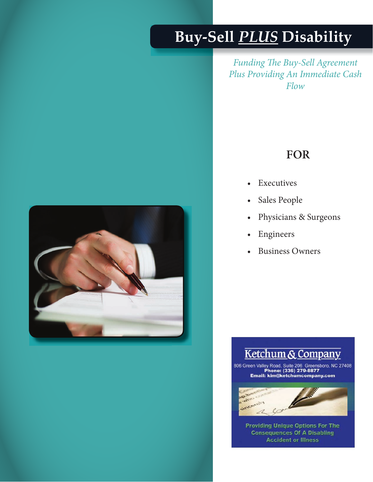## **Buy-Sell** *PLUS* **Disability**

*Funding The Buy-Sell Agreement Plus Providing An Immediate Cash Flow*

### **FOR**

- **Executives**
- Sales People
- Physicians & Surgeons
- • Engineers
- **Business Owners**



### Ketchum & Company

806 Green Valley Road, Suite 206 Greensboro, NC 27408<br>Phone: (336) 279-8877<br>Email: kim@ketchumcompany.com



International University of the control of the control of the control of the control of the control of the control of the control of the control of the control of the control of the control of the control of the control of **Providing Unique Options For The<br>Consequences Of A Disabling<br>Accident or Illness**